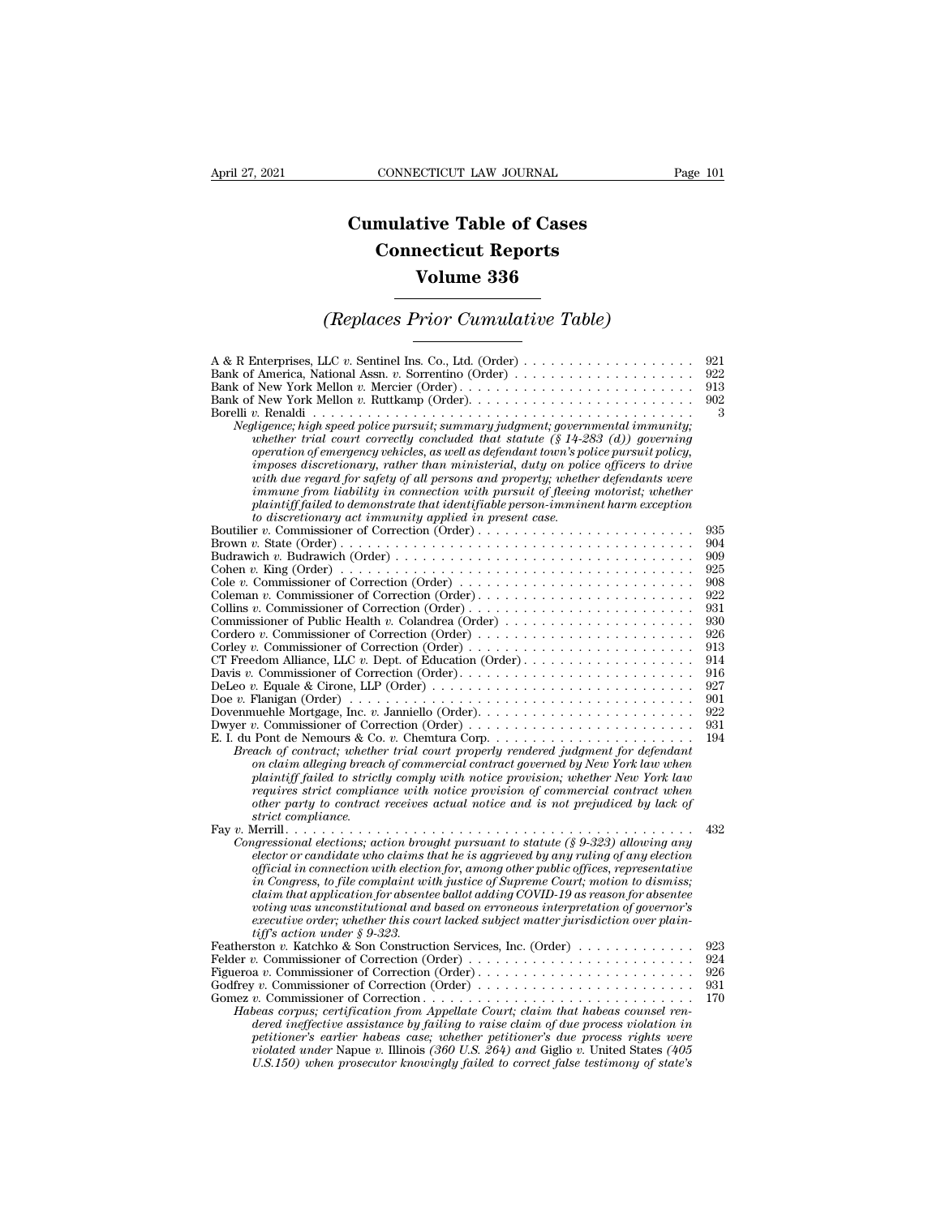## **CONNECTICUT LAW JOURNAL**<br> **Cumulative Table of Cases<br>
Connecticut Reports CONNECTICUT LAW JOURNAL**<br> **CONNECTICUT LAW JOURNAL**<br> **CONNECTICUT Reports<br>
Volume 336 ECTICUT LAW JOURNAL**<br> **Volume 336**<br> **Volume 336**<br> **Volume 336**<br> **Prior Cumulative Table** *CONNECTICUT LAW JOURNAL* Page 101<br> **Cumulative Table of Cases<br>** *Connecticut Reports***<br>** *Volume 336***<br>** *(Replaces Prior Cumulative Table)***<br>** *MG a Satire lie Gr. 14 (Culm)*

| <b>Volume 336</b>                                                                                                                                                                                                                                                                                                                                                                                                                                                                                                                                                                                                                                                                                                                                            |                                                                                                                     |
|--------------------------------------------------------------------------------------------------------------------------------------------------------------------------------------------------------------------------------------------------------------------------------------------------------------------------------------------------------------------------------------------------------------------------------------------------------------------------------------------------------------------------------------------------------------------------------------------------------------------------------------------------------------------------------------------------------------------------------------------------------------|---------------------------------------------------------------------------------------------------------------------|
| (Replaces Prior Cumulative Table)                                                                                                                                                                                                                                                                                                                                                                                                                                                                                                                                                                                                                                                                                                                            |                                                                                                                     |
| Bank of America, National Assn. v. Sorrentino (Order)<br>Bank of New York Mellon v. Mercier (Order)<br>Negligence; high speed police pursuit; summary judgment; governmental immunity;<br>whether trial court correctly concluded that statute $(\S 14{\text -}283\,(\text{d}))$ governing<br>operation of emergency vehicles, as well as defendant town's police pursuit policy,<br>imposes discretionary, rather than ministerial, duty on police officers to drive<br>with due regard for safety of all persons and property; whether defendants were<br>immune from liability in connection with pursuit of fleeing motorist; whether<br>plaintiff failed to demonstrate that identifiable person-imminent harm exception                                | 921<br>922<br>913<br>902<br>3                                                                                       |
| to discretionary act immunity applied in present case.<br>Cole v. Commissioner of Correction (Order) $\dots \dots \dots \dots \dots \dots \dots \dots \dots \dots$<br>Commissioner of Public Health v. Colandrea (Order) $\dots \dots \dots \dots \dots \dots \dots$<br>CT Freedom Alliance, LLC $v$ . Dept. of Education (Order)<br>Breach of contract; whether trial court properly rendered judgment for defendant<br>on claim alleging breach of commercial contract governed by New York law when<br>plaintiff failed to strictly comply with notice provision; whether New York law<br>requires strict compliance with notice provision of commercial contract when<br>other party to contract receives actual notice and is not prejudiced by lack of | 935<br>904<br>909<br>925<br>908<br>922<br>931<br>930<br>926<br>913<br>914<br>916<br>927<br>901<br>922<br>931<br>194 |
| strict compliance.<br>Congressional elections; action brought pursuant to statute (§ 9-323) allowing any<br>elector or candidate who claims that he is aggrieved by any ruling of any election<br>official in connection with election for, among other public offices, representative<br>in Congress, to file complaint with justice of Supreme Court; motion to dismiss;<br>claim that application for absentee ballot adding COVID-19 as reason for absentee<br>voting was unconstitutional and based on erroneous interpretation of governor's<br>executive order; whether this court lacked subject matter jurisdiction over plain-<br>tiff's action under § 9-323.                                                                                     | 432                                                                                                                 |
| Featherston v. Katchko & Son Construction Services, Inc. (Order)<br>Felder v. Commissioner of Correction (Order)<br>Godfrey v. Commissioner of Correction (Order)<br>Habeas corpus; certification from Appellate Court; claim that habeas counsel ren-<br>dered ineffective assistance by failing to raise claim of due process violation in<br>petitioner's earlier habeas case; whether petitioner's due process rights were<br>violated under Napue v. Illinois (360 U.S. 264) and Giglio v. United States (405<br>U.S.150) when prosecutor knowingly failed to correct false testimony of state's                                                                                                                                                        | 923<br>924<br>926<br>931<br>170                                                                                     |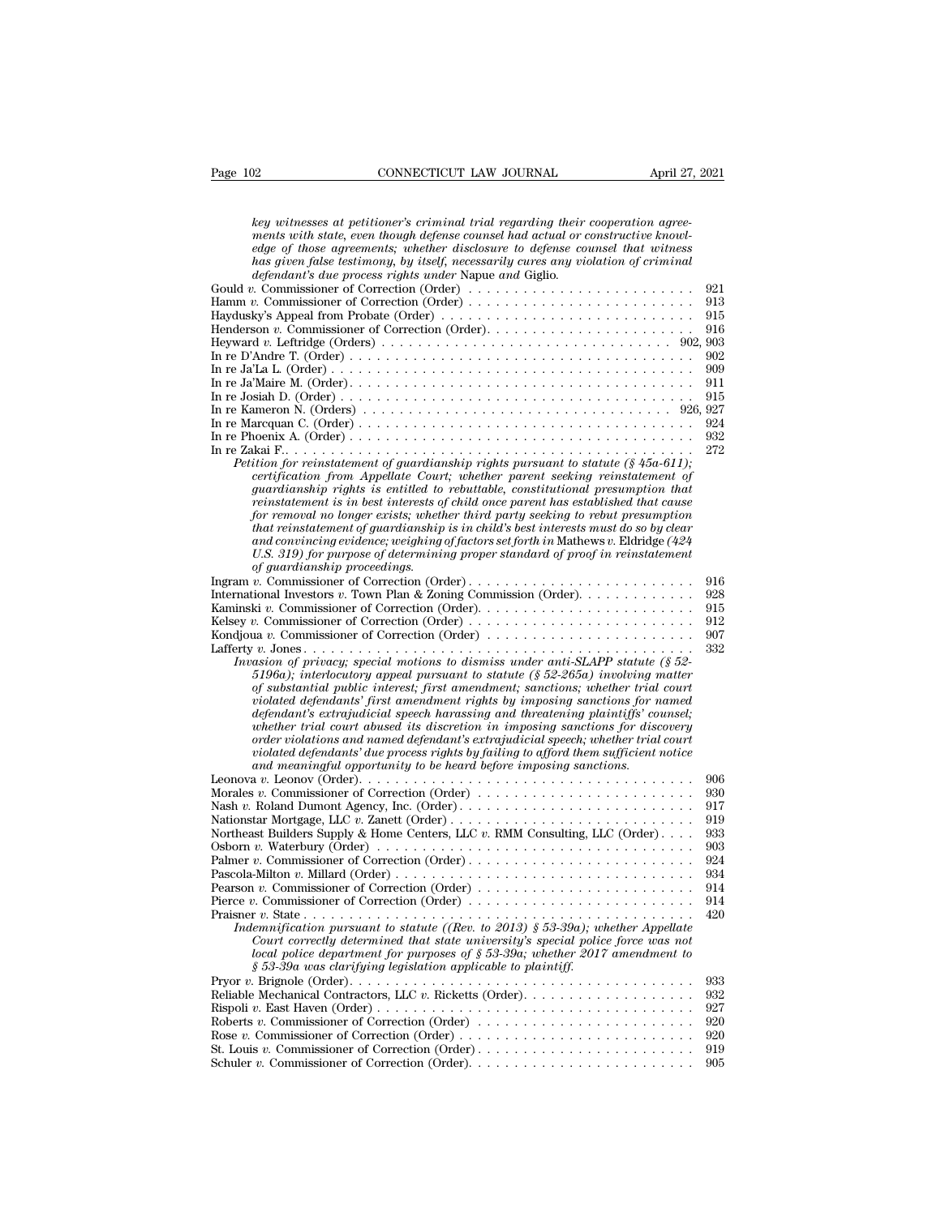*key witnesses at petitioner's criminal trial regarding their cooperation agreements with state, even though defense counsel had actual or constructive knowledge of those agreements: whether disclosure to defense counsel t ments with state is at petitioner's criminal trial regarding their cooperation agreements with state, even though defense counsel had actual or constructive knowledge of those agreements; whether disclosure to defense con* **edge of those agreements;** connectricurrely that *agarding their cooperation agreements with state, even though defense counsel had actual or constructive knowledge of those agreements; whether disclosure to defense couns has given false testimony, by itself, necessarily cures testimony, by itself, necessarily cures with state, even though defense counsel had actual or constructive knowledge of those agreements; whether disclosure to defen defendant's due process rights under* their cooperation agreements with state, even though defense counsel had actual or constructive knowledge of those agreements; whether disclosure to defense counsel that witness has g key witnesses at petitioner's criminal trial regarding their cooperation agreements with state, even though defense counsel had actual or constructive knowledge of those agreements; whether disclosure to defense counsel th *Haydusky's Appear to the set at performance of the set at a deciral or constructive knowledge of those agreements; whether disclosure to defense counsel that witness has given false testimony, by itself, necessarily cures* date of those agreements; whether disclosure to defense counsel that witness<br>edge of those agreements; whether disclosure to defense counsel that witness<br>has given false testimony, by itself, necessarily cures any violatio Heyward *v.* Leftridge (Orders) . . . . . . . . . . . . . . . . . . . . . . . . . . . . . . . . 902, 903 In re D'Andre T. (Order) . . . . . . . . . . . . . . . . . . . . . . . . . . . . . . . . . . . . . . <sup>902</sup> Gould v. Commissioner of Correction (Order)<br>
Hamm v. Commissioner of Correction (Order)<br>
Haydusky's Appeal from Probate (Order)<br>
Henderson v. Commissioner of Correction (Order)<br>
Henderson v. Commissioner of Correction (Ord In re Ja'Maire M. (Order). . . . . . . . . . . . . . . . . . . . . . . . . . . . . . . . . . . . . . <sup>911</sup> In re Josiah D. (Order) . . . . . . . . . . . . . . . . . . . . . . . . . . . . . . . . . . . . . . . <sup>915</sup> In re Kameron N. (Orders) . . . . . . . . . . . . . . . . . . . . . . . . . . . . . . . . . . 926, 927 In re Marcquan C. (Order) . . . . . . . . . . . . . . . . . . . . . . . . . . . . . . . . . . . . . <sup>924</sup> In re Phoenix A. (Order) . . . . . . . . . . . . . . . . . . . . . . . . . . . . . . . . . . . . . . <sup>932</sup> In re *Dalla L.* (Order)<br>
In re Ja'La L. (Order)<br>
In re Ja'La L. (Order)<br>
In re Marenon N. (Order)<br>
In re Kameron N. (Order)<br>
In re Kameron N. (Order)<br>
In re Marcquan C. (Order)<br>
In re Marcquan C. (Order)<br>
In re Marcquan *Petition for reinstatement of guardianship rights pursuant to statute (§ 45a-611);*<br>*Petition for reinstatement of guardianship rights pursuant to statute (§ 45a-611);*<br>*Petition for reinstatement of guardianship rights p certification from Appellate Court; whether parent seeking reinstatement of corder)*<br> *certification for reinstatement of guardianship rights pursuant to statute (§ 45a-611);*<br> *certification from Appellate Court; wheth guardianship rights is entitled to rebuttable, constitutional COrdersace and* COrder).<br> *guardianship rights pursuant to statute (§ 45a-611)*<br> *guardianship rights is entitled to rebuttable, constitutional presumption tha reinstatement is in best interests of child once parent has established that cause for removal no longer exists; whether third party seeking to rebut presumption that reinstatement of guardianship is in child's best interests must do so by clear and figure in the factorical of guardianship rights pursuant to statute (§ 45a-611);*<br> *and for reinstatement of guardianship rights pursuant to statute (§ 45a-611);*<br> *and guardianship rights is entitled to rebuttable, c und convincing evidence; weighing of factors set forth in Mathews v. Eldridge (424*<br>U.S. 319) for purpose of determining proper standard of proof in reinstatement<br>of guardianship proceedings.<br>v. Commissioner of Correctio *certyrcation from Appellate Cour*<br>*guardianship rights is entitled to<br>reinstatement is in best interests of<br>for removal no longer exists; wheth<br>that reinstatement of guardianship<br>and convincing evidence; weighing<br>U.S. 319* guaranaship rights is entitled to rebuttable, constitutional presumption that<br>reinstatement is in best interests of child once parent has established that cause<br>for removal no longer exists; whether third party seeking to Fernstatement is in oest interests of child once parent has established that cause<br>for removal no longer exists; whether third party seeking to rebut presumption<br>that reinstatement of guardianship is in child's best intere For removal no longer exists; unether literal party seeking to reolal presumption<br>that reinstatement of guardianship is in child's best interests must do so by clear<br>and convincing evidence; weighing of factors set forth i *and convincing evidence; weighing is in chuas best interests muss to so by clear<br>and convincing evidence; weighing of factors set forth in Mathews v. Eldridge (424<br>U.S. 319) for purpose of determining proper standard of p U.S. 319) for purpose of determining proper standard of proof in reinstatement*<br> *U.S. 319) for purpose of determining proper standard of proof in reinstatement*<br> *of guardianship proceedings.*<br>
Infermational Investors v. Lafferty *v.* Jones . . . . . . . . . . . . . . . . . . . . . . . . . . . . . . . . . . . . . . . . . . . <sup>332</sup> *In a c. Commissioner of Correction (Order)*<br> *Invasioner of Correction (Order)*<br> *Inski v. Commissioner of Correction (Order)*<br> *Inski v. Commissioner of Correction (Order)*<br> *Invasioner of Correction (Order)*<br> *Invasion 5196a); interlocutory appeal pursuant to statute (§ 52-265a) involving matter* **of substantial public interest; first amendment in the substantial public interest; first amendment of Correction (Order)**<br> *v.* Commissioner of Correction (Order)<br> **a** *v.* Commissioner of Correction (Order)<br> **a** *v.* J *violated defendants' first amendment rights by imposing sanctions for named defendants* of Correction (Order)  $\ldots$  and  $\ldots$  912<br> *day.* Commissioner of Correction (Order)  $\ldots$  and  $\ldots$  332<br> *dasion of privacy; special motions to dismiss under anti-SLAPP statute* (§ 52-<br>
5196a); interlocutory *whether trial courtestion in interiories in the minimisty of the saion of princey; special motions to dismiss under anti-SLAPP statute (§ 52-3196a); interlocutory appeal pursuant to statute (§ 52-265a) involving matter of order violations and named defendant's extrajudicial speech; whether trial court* asion of privacy; special motions to dismiss under anti-SLAPP statute (§ 52-5196a); interlocutry appeal pursuant to statute (§ 52-265a) involving matter of substantial public interest; first amendment; sanctions; whether t *and meaning interiocutory appeal pursuant to statute (§ 32-265a) mootving n* of substantial public interest; first amendment; sanctions; whether trial violated defendants' first amendment rights by imposing sanctions for of substantial public interest; first amendment; sanctions; whether trial court<br>violated defendants' first amendment rights by imposing sanctions for named<br>defendant's extrajudicial speech harassing and threatening plainti volded defendants first amendment rights by imposing sanctions for named<br>defendant's extrajudicial speech harassing and threatening plaintiffs' coursel;<br>whether trial court abused its discretion in imposing sanctions for d *usemant setroparta spectra marsing and urealing paramigs counset,*<br> *whether trial court abused its discretion in imposing sanctions for discovery*<br> *order violations and named defendant's extrapidicial speech, whether tr order violations and named defendant's existention in imposing such sight order violated defendants' due process rights by failing to afford them sufficient notice<br>
<i>violated defendants' due process rights by failing to a* Northeast Builders Supply & Home Centers, LLC *<sup>v</sup>*. RMM Consulting, LLC (Order) . . . . <sup>933</sup> Osborn *v.* Waterbury (Order) . . . . . . . . . . . . . . . . . . . . . . . . . . . . . . . . . . . <sup>903</sup> Palmer *<sup>v</sup>*. Commissioner of Correction (Order) . . . . . . . . . . . . . . . . . . . . . . . . . <sup>924</sup> Pascola-Milton *<sup>v</sup>*. Millard (Order) . . . . . . . . . . . . . . . . . . . . . . . . . . . . . . . . . <sup>934</sup> Pearson *v.* Commissioner of Correction (Order) . . . . . . . . . . . . . . . . . . . . . . . . <sup>914</sup> Pierce *<sup>v</sup>*. Commissioner of Correction (Order) . . . . . . . . . . . . . . . . . . . . . . . . . <sup>914</sup> Praisner *<sup>v</sup>*. State . . . . . . . . . . . . . . . . . . . . . . . . . . . . . . . . . . . . . . . . . . . <sup>420</sup> *Indemnification pursuant to statute ((Rev. to 2013) § 53-39a); whether Appellate Court correctly determined that state university's special police force was not local police department for purposes of § 53-39a; whether 2017* amendment *policer local police department to statute ((Rev. to 2013) § 53-39a); whether Appellate Court correctly determined that state university's speci § 53-39a was clarifying legislation applicable to plaintiff.* Pryor *<sup>v</sup>*. Brignole (Order). . . . . . . . . . . . . . . . . . . . . . . . . . . . . . . . . . . . . . <sup>933</sup> Reliable Mechanical Contractors, LLC *<sup>v</sup>*. Ricketts (Order). . . . . . . . . . . . . . . . . . . <sup>932</sup> Rispoli *<sup>v</sup>*. East Haven (Order) . . . . . . . . . . . . . . . . . . . . . . . . . . . . . . . . . . . <sup>927</sup> Court correctly determined that state university's special police force was not<br>local police department for purposes of § 53-39a; whether 2017 amendment to<br>s 53-39a was clarifying legislation applicable to plaintiff.<br>Pryor *voir correction (order)*<br> *voir converges accuminate and state and state and state is 53-39a; whether 2017 amendment to*<br> *§ 53-39a was clarifying legislation applicable to plaintiff.*<br>
Pryor v. Brignole (Order) . . . . . St. Louis *v.* Commissioner of Correction (Order) . . . . . . . . . . . . . . . . . . . . . . . . <sup>919</sup> Schuler *v.* Commissioner of Correction (Order). . . . . . . . . . . . . . . . . . . . . . . . . <sup>905</sup>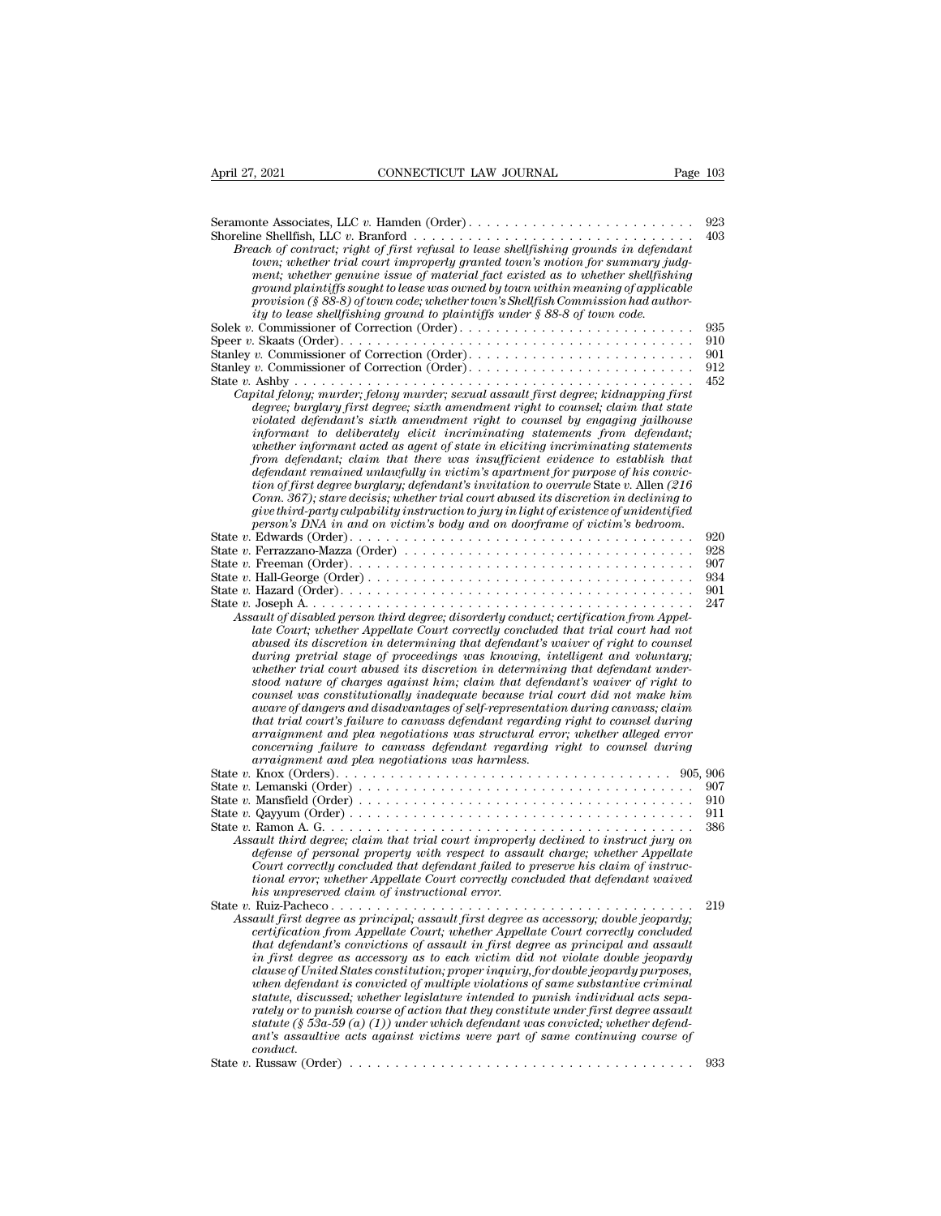| April 27, 2021<br>CONNECTICUT LAW JOURNAL                                                                                                                      | Page 103 |     |
|----------------------------------------------------------------------------------------------------------------------------------------------------------------|----------|-----|
|                                                                                                                                                                |          |     |
|                                                                                                                                                                |          | 923 |
| Shoreline Shellfish, LLC $v$ . Branford $\ldots \ldots \ldots \ldots \ldots \ldots \ldots \ldots \ldots \ldots \ldots \ldots \ldots$                           |          | 403 |
| Breach of contract; right of first refusal to lease shellfishing grounds in defendant                                                                          |          |     |
| town; whether trial court improperly granted town's motion for summary judg-                                                                                   |          |     |
| ment; whether genuine issue of material fact existed as to whether shellfishing                                                                                |          |     |
| ground plaintiffs sought to lease was owned by town within meaning of applicable                                                                               |          |     |
| provision (§ 88-8) of town code; whether town's Shellfish Commission had author-                                                                               |          |     |
| ity to lease shellfishing ground to plaintiffs under § 88-8 of town code.                                                                                      |          |     |
|                                                                                                                                                                |          | 935 |
|                                                                                                                                                                |          | 910 |
|                                                                                                                                                                |          | 901 |
|                                                                                                                                                                |          | 912 |
|                                                                                                                                                                |          | 452 |
| Capital felony; murder; felony murder; sexual assault first degree; kidnapping first                                                                           |          |     |
| degree; burglary first degree; sixth amendment right to counsel; claim that state                                                                              |          |     |
| violated defendant's sixth amendment right to counsel by engaging jailhouse                                                                                    |          |     |
| informant to deliberately elicit incriminating statements from defendant;                                                                                      |          |     |
| whether informant acted as agent of state in eliciting incriminating statements                                                                                |          |     |
| from defendant; claim that there was insufficient evidence to establish that                                                                                   |          |     |
| defendant remained unlawfully in victim's apartment for purpose of his convic-                                                                                 |          |     |
| tion of first degree burglary; defendant's invitation to overrule State v. Allen (216)                                                                         |          |     |
| Conn. 367); stare decisis; whether trial court abused its discretion in declining to                                                                           |          |     |
| $\label{eq:constrained} \begin{aligned} \textit{give third-party culability instruction to jury in light of existence of unidentified} \end{aligned}$          |          |     |
| person's DNA in and on victim's body and on doorframe of victim's bedroom.                                                                                     |          |     |
|                                                                                                                                                                |          | 920 |
| State v. Ferrazzano-Mazza (Order) $\dots \dots \dots \dots \dots \dots \dots \dots \dots \dots \dots \dots \dots$                                              |          | 928 |
|                                                                                                                                                                |          | 907 |
|                                                                                                                                                                |          | 934 |
|                                                                                                                                                                |          | 901 |
|                                                                                                                                                                |          | 247 |
| Assault of disabled person third degree; disorderly conduct; certification from Appel-                                                                         |          |     |
| late Court; whether Appellate Court correctly concluded that trial court had not                                                                               |          |     |
| abused its discretion in determining that defendant's waiver of right to counsel                                                                               |          |     |
| during pretrial stage of proceedings was knowing, intelligent and voluntary;                                                                                   |          |     |
| whether trial court abused its discretion in determining that defendant under-                                                                                 |          |     |
| stood nature of charges against him; claim that defendant's waiver of right to<br>counsel was constitutionally inadequate because trial court did not make him |          |     |
| aware of dangers and disadvantages of self-representation during canvass; claim                                                                                |          |     |
| that trial court's failure to canvass defendant regarding right to counsel during                                                                              |          |     |
| arraignment and plea negotiations was structural error; whether alleged error                                                                                  |          |     |
| concerning failure to canvass defendant regarding right to counsel during                                                                                      |          |     |
| arraignment and plea negotiations was harmless.                                                                                                                |          |     |
|                                                                                                                                                                |          |     |
|                                                                                                                                                                |          | 907 |
|                                                                                                                                                                |          | 910 |
|                                                                                                                                                                |          | 911 |
| .                                                                                                                                                              |          | 386 |
| Assault third degree; claim that trial court improperly declined to instruct jury on                                                                           |          |     |
| defense of personal property with respect to assault charge; whether Appellate                                                                                 |          |     |
| Court correctly concluded that defendant failed to preserve his claim of instruc-                                                                              |          |     |
| tional error; whether Appellate Court correctly concluded that defendant waived                                                                                |          |     |
| his unpreserved claim of instructional error.                                                                                                                  |          |     |
| .                                                                                                                                                              |          | 219 |
| Assault first degree as principal; assault first degree as accessory; double jeopardy;                                                                         |          |     |
| certification from Appellate Court; whether Appellate Court correctly concluded                                                                                |          |     |
| that defendant's convictions of assault in first degree as principal and assault                                                                               |          |     |
| in first degree as accessory as to each victim did not violate double jeopardy                                                                                 |          |     |
| clause of United States constitution; proper inquiry, for double jeopardy purposes,                                                                            |          |     |
| when defendant is convicted of multiple violations of same substantive criminal                                                                                |          |     |
| statute, discussed; whether legislature intended to punish individual acts sepa-                                                                               |          |     |
| $rately \ or \ to \ punish \ course \ of \ action \ that \ they \ constitute \ under \ first \ degree \ assault$                                               |          |     |
| statute (§ $53a-59(a) (1)$ ) under which defendant was convicted; whether defend-                                                                              |          |     |
| ant's assaultive acts against victims were part of same continuing course of                                                                                   |          |     |
| conduct.<br>State <i>n</i> Russaw (Order)                                                                                                                      |          | 933 |
|                                                                                                                                                                |          |     |

State *<sup>v</sup>*. Russaw (Order) . . . . . . . . . . . . . . . . . . . . . . . . . . . . . . . . . . . . . . <sup>933</sup>